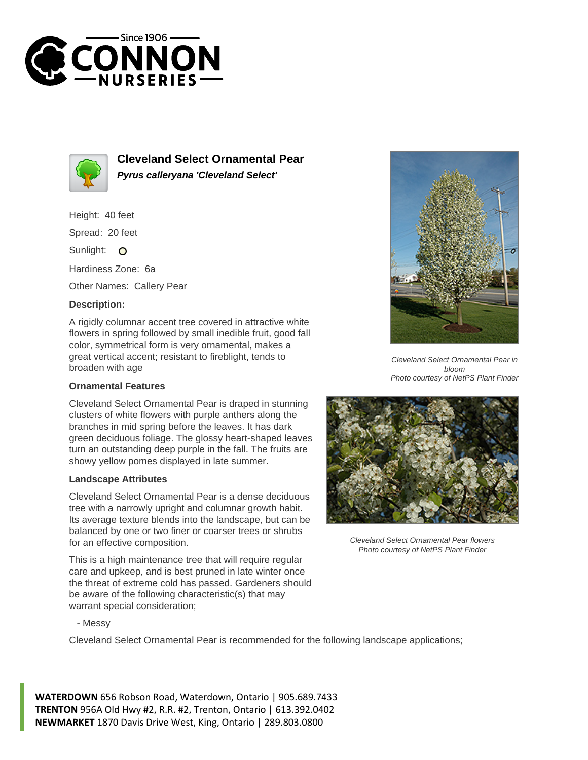



**Cleveland Select Ornamental Pear Pyrus calleryana 'Cleveland Select'**

Height: 40 feet

Spread: 20 feet

Sunlight: O

Hardiness Zone: 6a

Other Names: Callery Pear

## **Description:**

A rigidly columnar accent tree covered in attractive white flowers in spring followed by small inedible fruit, good fall color, symmetrical form is very ornamental, makes a great vertical accent; resistant to fireblight, tends to broaden with age

## **Ornamental Features**

Cleveland Select Ornamental Pear is draped in stunning clusters of white flowers with purple anthers along the branches in mid spring before the leaves. It has dark green deciduous foliage. The glossy heart-shaped leaves turn an outstanding deep purple in the fall. The fruits are showy yellow pomes displayed in late summer.

## **Landscape Attributes**

Cleveland Select Ornamental Pear is a dense deciduous tree with a narrowly upright and columnar growth habit. Its average texture blends into the landscape, but can be balanced by one or two finer or coarser trees or shrubs for an effective composition.

This is a high maintenance tree that will require regular care and upkeep, and is best pruned in late winter once the threat of extreme cold has passed. Gardeners should be aware of the following characteristic(s) that may warrant special consideration;



Cleveland Select Ornamental Pear in bloom Photo courtesy of NetPS Plant Finder



Cleveland Select Ornamental Pear flowers Photo courtesy of NetPS Plant Finder

- Messy

Cleveland Select Ornamental Pear is recommended for the following landscape applications;

**WATERDOWN** 656 Robson Road, Waterdown, Ontario | 905.689.7433 **TRENTON** 956A Old Hwy #2, R.R. #2, Trenton, Ontario | 613.392.0402 **NEWMARKET** 1870 Davis Drive West, King, Ontario | 289.803.0800